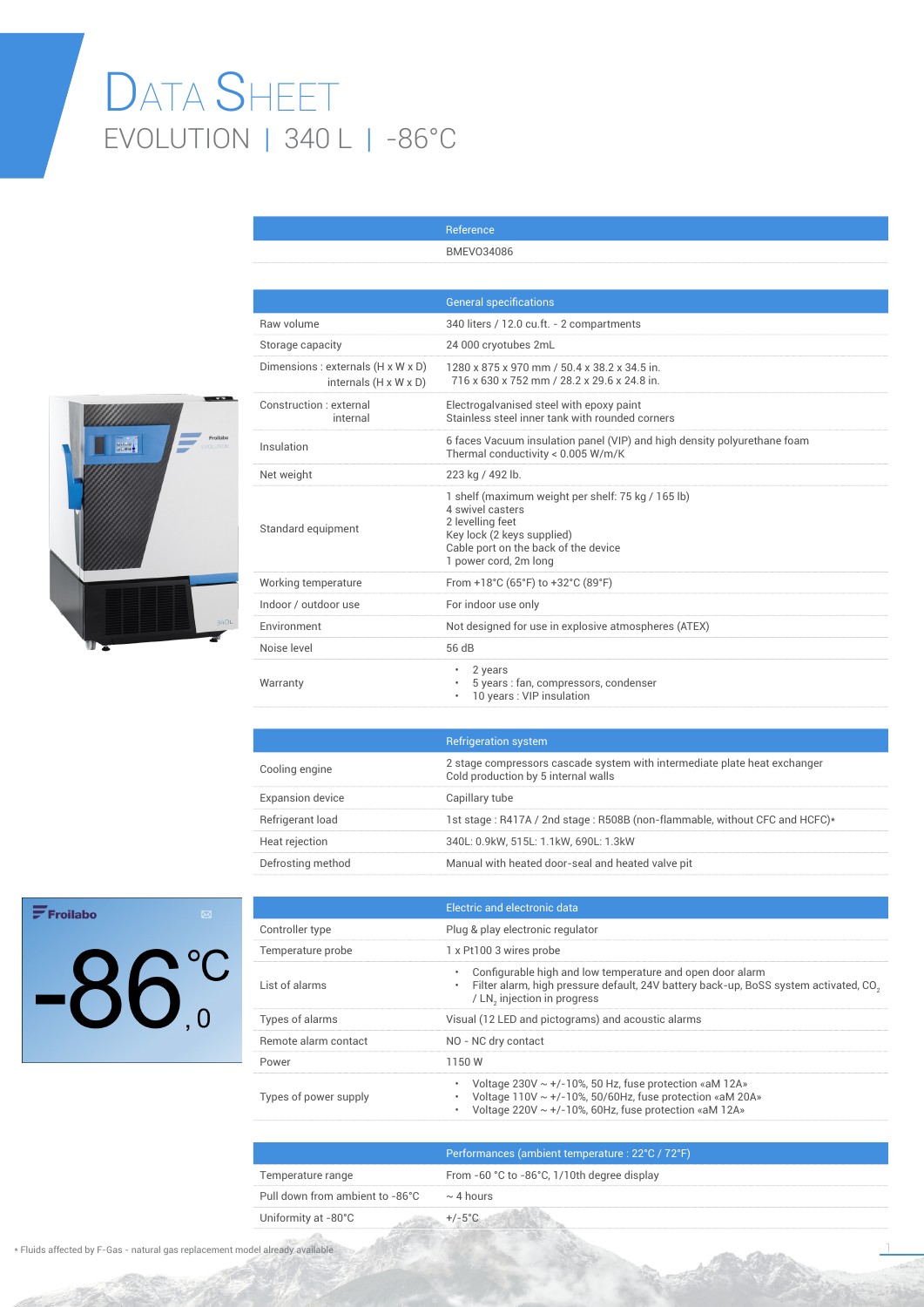## DATA SHEET EVOLUTION | 340 L | -86°C



|                                                                         | <b>General specifications</b>                                                                                                                                                             |
|-------------------------------------------------------------------------|-------------------------------------------------------------------------------------------------------------------------------------------------------------------------------------------|
| Raw volume                                                              | 340 liters / 12.0 cu.ft. - 2 compartments                                                                                                                                                 |
| Storage capacity                                                        | 24 000 cryotubes 2mL                                                                                                                                                                      |
| Dimensions : externals (H x W x D)<br>internals $(H \times W \times D)$ | 1280 x 875 x 970 mm / 50.4 x 38.2 x 34.5 in.<br>716 x 630 x 752 mm / 28.2 x 29.6 x 24.8 in.                                                                                               |
| Construction : external<br>internal                                     | Electrogalvanised steel with epoxy paint<br>Stainless steel inner tank with rounded corners                                                                                               |
| Insulation                                                              | 6 faces Vacuum insulation panel (VIP) and high density polyurethane foam<br>Thermal conductivity < 0.005 W/m/K                                                                            |
| Net weight                                                              | 223 kg / 492 lb.                                                                                                                                                                          |
| Standard equipment                                                      | 1 shelf (maximum weight per shelf: 75 kg / 165 lb)<br>4 swivel casters<br>2 levelling feet<br>Key lock (2 keys supplied)<br>Cable port on the back of the device<br>1 power cord, 2m long |
| Working temperature                                                     | From +18°C (65°F) to +32°C (89°F)                                                                                                                                                         |
| Indoor / outdoor use                                                    | For indoor use only                                                                                                                                                                       |
| Environment                                                             | Not designed for use in explosive atmospheres (ATEX)                                                                                                                                      |
| Noise level                                                             | 56 dB                                                                                                                                                                                     |
| Warranty                                                                | 2 years<br>$\bullet$<br>5 years : fan, compressors, condenser<br>10 years: VIP insulation                                                                                                 |

Reference BMEVO34086

|                         | <b>Refrigeration system</b>                                                                                      |
|-------------------------|------------------------------------------------------------------------------------------------------------------|
| Cooling engine          | 2 stage compressors cascade system with intermediate plate heat exchanger<br>Cold production by 5 internal walls |
| <b>Expansion device</b> | Capillary tube                                                                                                   |
| Refrigerant load        | 1st stage: R417A / 2nd stage: R508B (non-flammable, without CFC and HCFC)*                                       |
| Heat rejection          | 340L: 0.9kW, 515L: 1.1kW, 690L: 1.3kW                                                                            |
| Defrosting method       | Manual with heated door-seal and heated valve pit                                                                |

## $\mathbf{F}$ Froilabo



|                       | Electric and electronic data                                                                                                                                                                                     |
|-----------------------|------------------------------------------------------------------------------------------------------------------------------------------------------------------------------------------------------------------|
| Controller type       | Plug & play electronic regulator                                                                                                                                                                                 |
| Temperature probe     | 1 x Pt100 3 wires probe                                                                                                                                                                                          |
| List of alarms        | Configurable high and low temperature and open door alarm<br>۰<br>Filter alarm, high pressure default, 24V battery back-up, BoSS system activated, CO <sub>3</sub><br>۰<br>/ LN, injection in progress           |
| Types of alarms       | Visual (12 LED and pictograms) and acoustic alarms                                                                                                                                                               |
| Remote alarm contact  | NO - NC dry contact                                                                                                                                                                                              |
| Power                 | 1150W                                                                                                                                                                                                            |
| Types of power supply | Voltage $230V \sim +/-10\%$ , 50 Hz, fuse protection «aM 12A»<br>۰<br>Voltage $110V \sim +/-10\%$ , 50/60Hz, fuse protection «aM 20A»<br>Voltage 220V $\sim$ +/-10%, 60Hz, fuse protection «aM 12A»<br>$\bullet$ |
|                       |                                                                                                                                                                                                                  |

|                                                | Performances (ambient temperature : 22°C / 72°F) |
|------------------------------------------------|--------------------------------------------------|
| Temperature range                              | From -60 °C to -86°C, 1/10th degree display      |
| Pull down from ambient to -86°C $\sim$ 4 hours |                                                  |
| Uniformity at -80°C                            |                                                  |